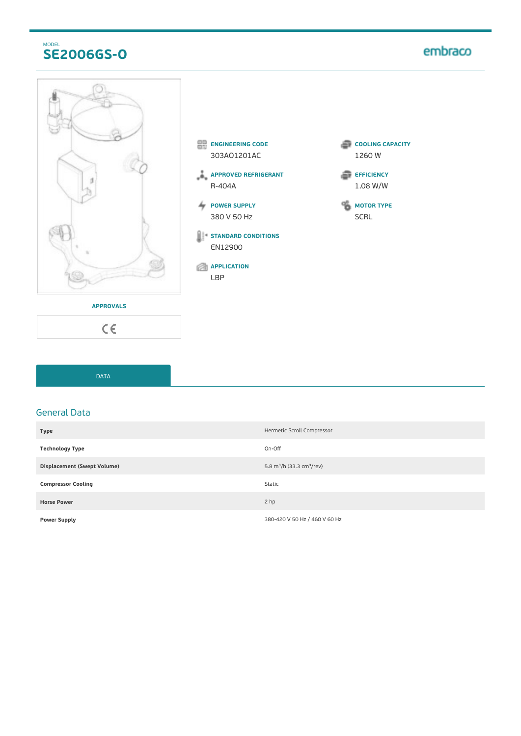### MODEL **SE2006GS-O**

# embraco



- **ENGINEERING CODE** 303AO1201AC
- **APPROVED REFRIGERANT** R-404A
- **POWER SUPPLY** 380 V 50 Hz
- **STANDARD CONDITIONS** EN12900
- **APPLICATION** LBP
- **COOLING CAPACITY** 1260 W
- **EFFICIENCY** 1.08 W/W

**MOTOR TYPE** SCRL

**APPROVALS**

 $C \in$ 

DATA

#### General Data

| <b>Type</b>                 | Hermetic Scroll Compressor                        |
|-----------------------------|---------------------------------------------------|
| <b>Technology Type</b>      | On-Off                                            |
| Displacement (Swept Volume) | 5.8 m <sup>3</sup> /h (33.3 cm <sup>3</sup> /rev) |
| <b>Compressor Cooling</b>   | Static                                            |
| <b>Horse Power</b>          | 2 hp                                              |
| <b>Power Supply</b>         | 380-420 V 50 Hz / 460 V 60 Hz                     |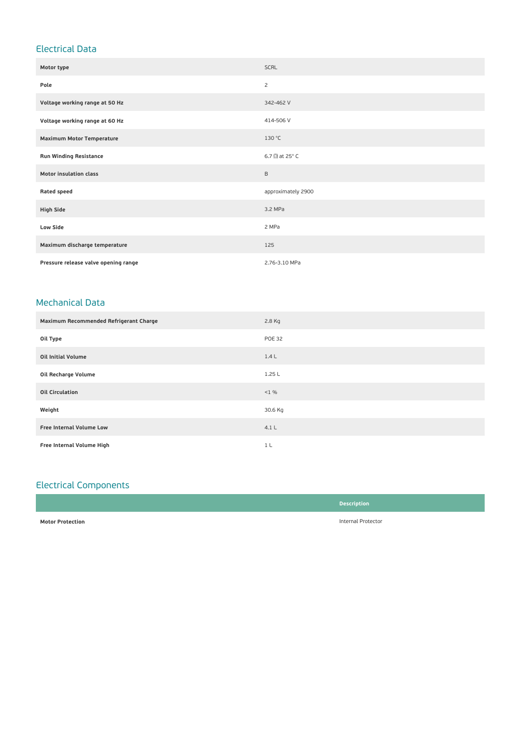## Electrical Data

| Motor type                           | <b>SCRL</b>                   |
|--------------------------------------|-------------------------------|
| Pole                                 | 2                             |
| Voltage working range at 50 Hz       | 342-462 V                     |
| Voltage working range at 60 Hz       | 414-506 V                     |
| <b>Maximum Motor Temperature</b>     | 130 °C                        |
| <b>Run Winding Resistance</b>        | 6.7 $\Box$ at 25 $^{\circ}$ C |
| <b>Motor insulation class</b>        | $\mathsf B$                   |
| <b>Rated speed</b>                   | approximately 2900            |
| <b>High Side</b>                     | 3.2 MPa                       |
| <b>Low Side</b>                      | 2 MPa                         |
| Maximum discharge temperature        | 125                           |
| Pressure release valve opening range | 2.76-3.10 MPa                 |

#### Mechanical Data

| Maximum Recommended Refrigerant Charge | 2.8 Kg        |
|----------------------------------------|---------------|
| Oil Type                               | <b>POE 32</b> |
| <b>Oil Initial Volume</b>              | 1.4L          |
| Oil Recharge Volume                    | 1.25L         |
| <b>Oil Circulation</b>                 | $< 1 \%$      |
| Weight                                 | 30.6 Kg       |
| <b>Free Internal Volume Low</b>        | 4.1L          |
| Free Internal Volume High              | 1 L           |

## Electrical Components

|                         | <b>Description</b> |
|-------------------------|--------------------|
| <b>Motor Protection</b> | Internal Protector |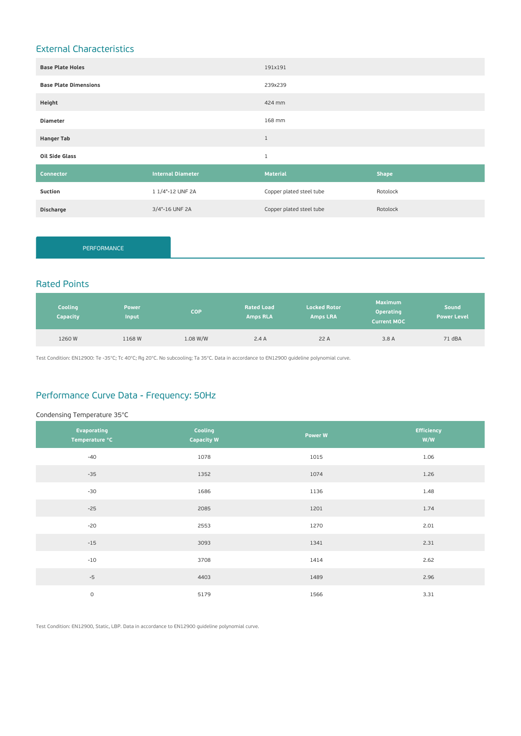## External Characteristics

| <b>Base Plate Holes</b>      |                          | 191x191                  |              |
|------------------------------|--------------------------|--------------------------|--------------|
| <b>Base Plate Dimensions</b> |                          | 239x239                  |              |
| Height                       |                          | 424 mm                   |              |
| <b>Diameter</b>              |                          | 168 mm                   |              |
| <b>Hanger Tab</b>            |                          | $1\,$                    |              |
| Oil Side Glass               |                          | $\mathbf{1}$             |              |
| Connector                    | <b>Internal Diameter</b> | <b>Material</b>          | <b>Shape</b> |
| Suction                      | 1 1/4"-12 UNF 2A         | Copper plated steel tube | Rotolock     |
| <b>Discharge</b>             | 3/4"-16 UNF 2A           | Copper plated steel tube | Rotolock     |

PERFORMANCE

### Rated Points

| Cooling<br><b>Capacity</b> | <b>Power</b><br>Input | <b>COP</b> | <b>Rated Load</b><br><b>Amps RLA</b> | <b>Locked Rotor</b><br><b>Amps LRA</b> | <b>Maximum</b><br><b>Operating</b><br><b>Current MOC</b> | Sound<br><b>Power Level</b> |
|----------------------------|-----------------------|------------|--------------------------------------|----------------------------------------|----------------------------------------------------------|-----------------------------|
| 1260 W                     | 1168W                 | 1.08 W/W   | 2.4A                                 | 22 A                                   | 3.8A                                                     | 71 dBA                      |

Test Condition: EN12900: Te -35°C; Tc 40°C; Rg 20°C. No subcooling; Ta 35°C. Data in accordance to EN12900 guideline polynomial curve.

#### Performance Curve Data - Frequency: 50Hz

#### Condensing Temperature 35°C

| Evaporating<br>Temperature °C | Cooling<br><b>Capacity W</b> | <b>Power W</b> | <b>Efficiency</b><br>W/W |
|-------------------------------|------------------------------|----------------|--------------------------|
| $-40$                         | 1078                         | 1015           | 1.06                     |
| $-35$                         | 1352                         | 1074           | 1.26                     |
| $-30$                         | 1686                         | 1136           | 1.48                     |
| $-25$                         | 2085                         | 1201           | 1.74                     |
| $-20$                         | 2553                         | 1270           | 2.01                     |
| $-15$                         | 3093                         | 1341           | 2.31                     |
| $-10$                         | 3708                         | 1414           | 2.62                     |
| $-5$                          | 4403                         | 1489           | 2.96                     |
| $\mathsf{O}\xspace$           | 5179                         | 1566           | 3.31                     |

Test Condition: EN12900, Static, LBP. Data in accordance to EN12900 guideline polynomial curve.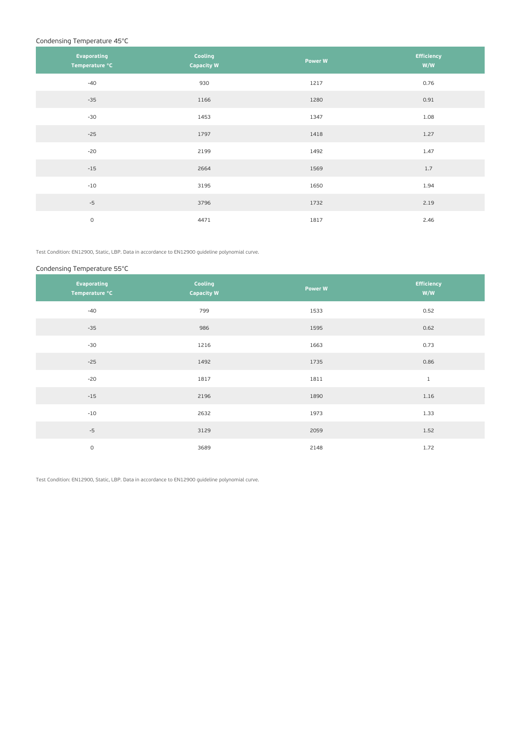#### Condensing Temperature 45°C

| Evaporating<br>Temperature °C | Cooling<br><b>Capacity W</b> | Power W | <b>Efficiency</b><br>W/W |
|-------------------------------|------------------------------|---------|--------------------------|
| $-40$                         | 930                          | 1217    | 0.76                     |
| $-35$                         | 1166                         | 1280    | 0.91                     |
| $-30$                         | 1453                         | 1347    | 1.08                     |
| $-25$                         | 1797                         | 1418    | 1.27                     |
| $-20$                         | 2199                         | 1492    | 1.47                     |
| $-15$                         | 2664                         | 1569    | 1.7                      |
| $-10$                         | 3195                         | 1650    | 1.94                     |
| $-5$                          | 3796                         | 1732    | 2.19                     |
| $\mathsf O$                   | 4471                         | 1817    | 2.46                     |

Test Condition: EN12900, Static, LBP. Data in accordance to EN12900 guideline polynomial curve.

#### Condensing Temperature 55°C

| Evaporating<br>Temperature °C | Cooling<br><b>Capacity W</b> | Power W | <b>Efficiency</b><br>W/W |
|-------------------------------|------------------------------|---------|--------------------------|
| $-40$                         | 799                          | 1533    | 0.52                     |
| $-35$                         | 986                          | 1595    | 0.62                     |
| $-30$                         | 1216                         | 1663    | 0.73                     |
| $-25$                         | 1492                         | 1735    | 0.86                     |
| $-20$                         | 1817                         | 1811    | $1\,$                    |
| $-15$                         | 2196                         | 1890    | 1.16                     |
| $-10$                         | 2632                         | 1973    | 1.33                     |
| $-5$                          | 3129                         | 2059    | 1.52                     |
| $\circ$                       | 3689                         | 2148    | 1.72                     |

Test Condition: EN12900, Static, LBP. Data in accordance to EN12900 guideline polynomial curve.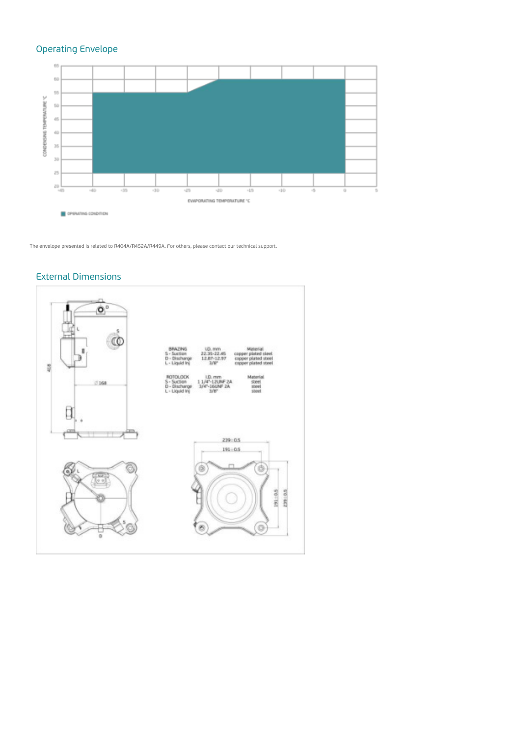## Operating Envelope



The envelope presented is related to R404A/R452A/R449A. For others, please contact our technical support.

#### External Dimensions